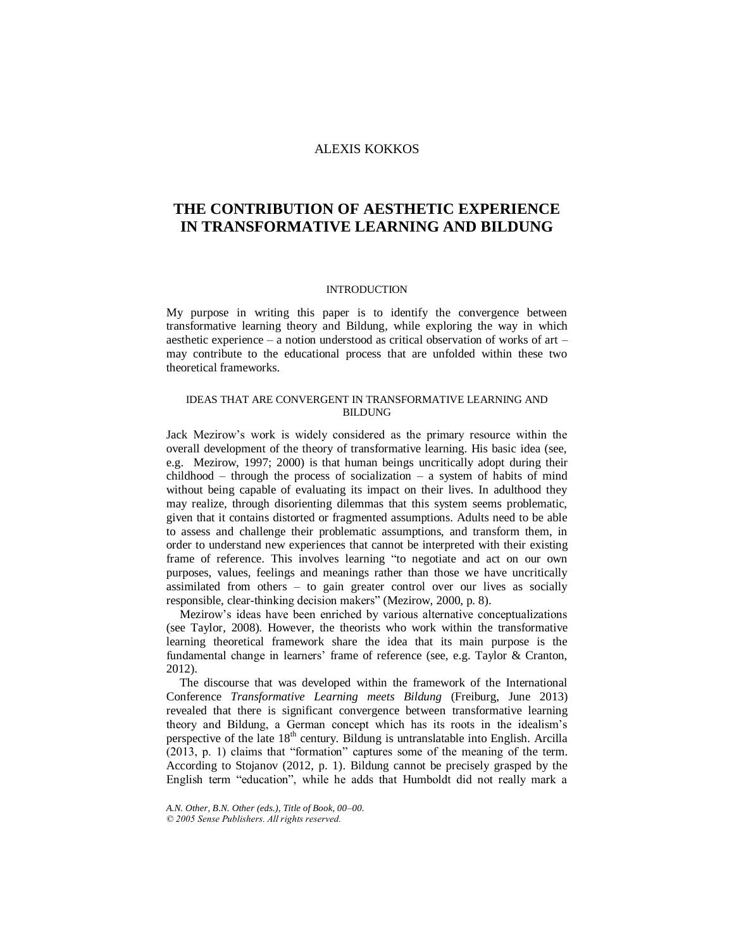# **THE CONTRIBUTION OF AESTHETIC EXPERIENCE IN TRANSFORMATIVE LEARNING AND BILDUNG**

# **INTRODUCTION**

My purpose in writing this paper is to identify the convergence between transformative learning theory and Bildung, while exploring the way in which aesthetic experience – a notion understood as critical observation of works of art – may contribute to the educational process that are unfolded within these two theoretical frameworks.

# IDEAS THAT ARE CONVERGENT IN TRANSFORMATIVE LEARNING AND BILDUNG

Jack Mezirow's work is widely considered as the primary resource within the overall development of the theory of transformative learning. His basic idea (see, e.g. Mezirow, 1997; 2000) is that human beings uncritically adopt during their  $childhood - through the process of socialization - a system of habits of mind$ without being capable of evaluating its impact on their lives. In adulthood they may realize, through disorienting dilemmas that this system seems problematic, given that it contains distorted or fragmented assumptions. Adults need to be able to assess and challenge their problematic assumptions, and transform them, in order to understand new experiences that cannot be interpreted with their existing frame of reference. This involves learning "to negotiate and act on our own purposes, values, feelings and meanings rather than those we have uncritically assimilated from others – to gain greater control over our lives as socially responsible, clear-thinking decision makers" (Mezirow, 2000, p. 8).

Mezirow's ideas have been enriched by various alternative conceptualizations (see Taylor, 2008). However, the theorists who work within the transformative learning theoretical framework share the idea that its main purpose is the fundamental change in learners' frame of reference (see, e.g. Taylor & Cranton, 2012).

The discourse that was developed within the framework of the International Conference *Transformative Learning meets Bildung* (Freiburg, June 2013) revealed that there is significant convergence between transformative learning theory and Bildung, a German concept which has its roots in the idealism's perspective of the late  $18<sup>th</sup>$  century. Bildung is untranslatable into English. Arcilla (2013, p. 1) claims that "formation" captures some of the meaning of the term. According to Stojanov (2012, p. 1). Bildung cannot be precisely grasped by the English term "education", while he adds that Humboldt did not really mark a

*A.N. Other, B.N. Other (eds.), Title of Book, 00–00. © 2005 Sense Publishers. All rights reserved.*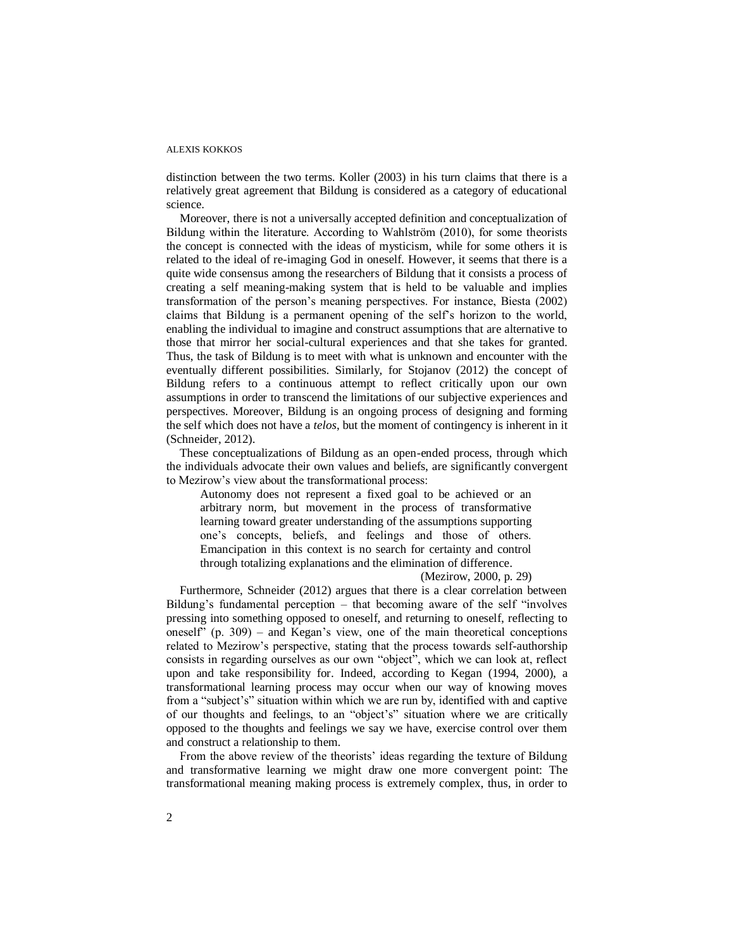distinction between the two terms. Koller (2003) in his turn claims that there is a relatively great agreement that Bildung is considered as a category of educational science.

Moreover, there is not a universally accepted definition and conceptualization of Bildung within the literature. According to Wahlström (2010), for some theorists the concept is connected with the ideas of mysticism, while for some others it is related to the ideal of re-imaging God in oneself. However, it seems that there is a quite wide consensus among the researchers of Bildung that it consists a process of creating a self meaning-making system that is held to be valuable and implies transformation of the person's meaning perspectives. For instance, Biesta (2002) claims that Bildung is a permanent opening of the self's horizon to the world, enabling the individual to imagine and construct assumptions that are alternative to those that mirror her social-cultural experiences and that she takes for granted. Thus, the task of Bildung is to meet with what is unknown and encounter with the eventually different possibilities. Similarly, for Stojanov (2012) the concept of Bildung refers to a continuous attempt to reflect critically upon our own assumptions in order to transcend the limitations of our subjective experiences and perspectives. Moreover, Bildung is an ongoing process of designing and forming the self which does not have a *telos*, but the moment of contingency is inherent in it (Schneider, 2012).

These conceptualizations of Bildung as an open-ended process, through which the individuals advocate their own values and beliefs, are significantly convergent to Mezirow's view about the transformational process:

Autonomy does not represent a fixed goal to be achieved or an arbitrary norm, but movement in the process of transformative learning toward greater understanding of the assumptions supporting one's concepts, beliefs, and feelings and those of others. Emancipation in this context is no search for certainty and control through totalizing explanations and the elimination of difference.

# (Mezirow, 2000, p. 29)

Furthermore, Schneider (2012) argues that there is a clear correlation between Bildung's fundamental perception – that becoming aware of the self "involves pressing into something opposed to oneself, and returning to oneself, reflecting to oneself" (p. 309) – and Kegan's view, one of the main theoretical conceptions related to Mezirow's perspective, stating that the process towards self-authorship consists in regarding ourselves as our own "object", which we can look at, reflect upon and take responsibility for. Indeed, according to Kegan (1994, 2000), a transformational learning process may occur when our way of knowing moves from a "subject's" situation within which we are run by, identified with and captive of our thoughts and feelings, to an "object's" situation where we are critically opposed to the thoughts and feelings we say we have, exercise control over them and construct a relationship to them.

From the above review of the theorists' ideas regarding the texture of Bildung and transformative learning we might draw one more convergent point: The transformational meaning making process is extremely complex, thus, in order to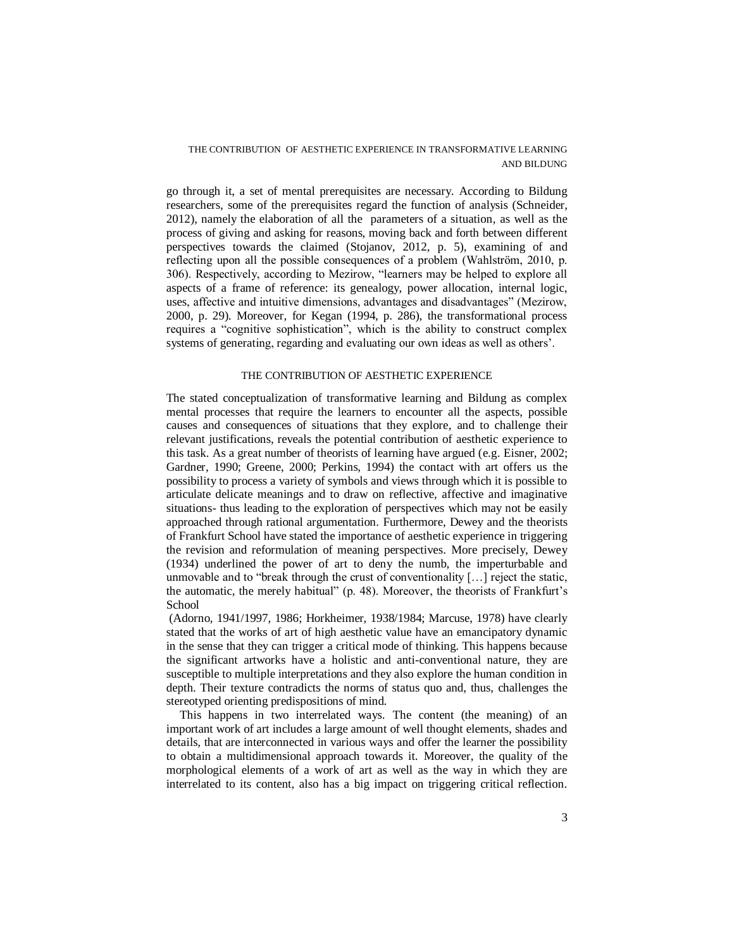go through it, a set of mental prerequisites are necessary. According to Bildung researchers, some of the prerequisites regard the function of analysis (Schneider, 2012), namely the elaboration of all the parameters of a situation, as well as the process of giving and asking for reasons, moving back and forth between different perspectives towards the claimed (Stojanov, 2012, p. 5), examining of and reflecting upon all the possible consequences of a problem (Wahlström, 2010, p. 306). Respectively, according to Mezirow, "learners may be helped to explore all aspects of a frame of reference: its genealogy, power allocation, internal logic, uses, affective and intuitive dimensions, advantages and disadvantages" (Mezirow, 2000, p. 29). Moreover, for Kegan (1994, p. 286), the transformational process requires a "cognitive sophistication", which is the ability to construct complex systems of generating, regarding and evaluating our own ideas as well as others'.

# THE CONTRIBUTION OF AESTHETIC EXPERIENCE

The stated conceptualization of transformative learning and Bildung as complex mental processes that require the learners to encounter all the aspects, possible causes and consequences of situations that they explore, and to challenge their relevant justifications, reveals the potential contribution of aesthetic experience to this task. As a great number of theorists of learning have argued (e.g. Eisner, 2002; Gardner, 1990; Greene, 2000; Perkins, 1994) the contact with art offers us the possibility to process a variety of symbols and views through which it is possible to articulate delicate meanings and to draw on reflective, affective and imaginative situations- thus leading to the exploration of perspectives which may not be easily approached through rational argumentation. Furthermore, Dewey and the theorists of Frankfurt School have stated the importance of aesthetic experience in triggering the revision and reformulation of meaning perspectives. More precisely, Dewey (1934) underlined the power of art to deny the numb, the imperturbable and unmovable and to "break through the crust of conventionality  $[\dots]$  reject the static, the automatic, the merely habitual" (p. 48). Moreover, the theorists of Frankfurt's School

(Adorno, 1941/1997, 1986; Horkheimer, 1938/1984; Marcuse, 1978) have clearly stated that the works of art of high aesthetic value have an emancipatory dynamic in the sense that they can trigger a critical mode of thinking. This happens because the significant artworks have a holistic and anti-conventional nature, they are susceptible to multiple interpretations and they also explore the human condition in depth. Their texture contradicts the norms of status quo and, thus, challenges the stereotyped orienting predispositions of mind.

This happens in two interrelated ways. The content (the meaning) of an important work of art includes a large amount of well thought elements, shades and details, that are interconnected in various ways and offer the learner the possibility to obtain a multidimensional approach towards it. Moreover, the quality of the morphological elements of a work of art as well as the way in which they are interrelated to its content, also has a big impact on triggering critical reflection.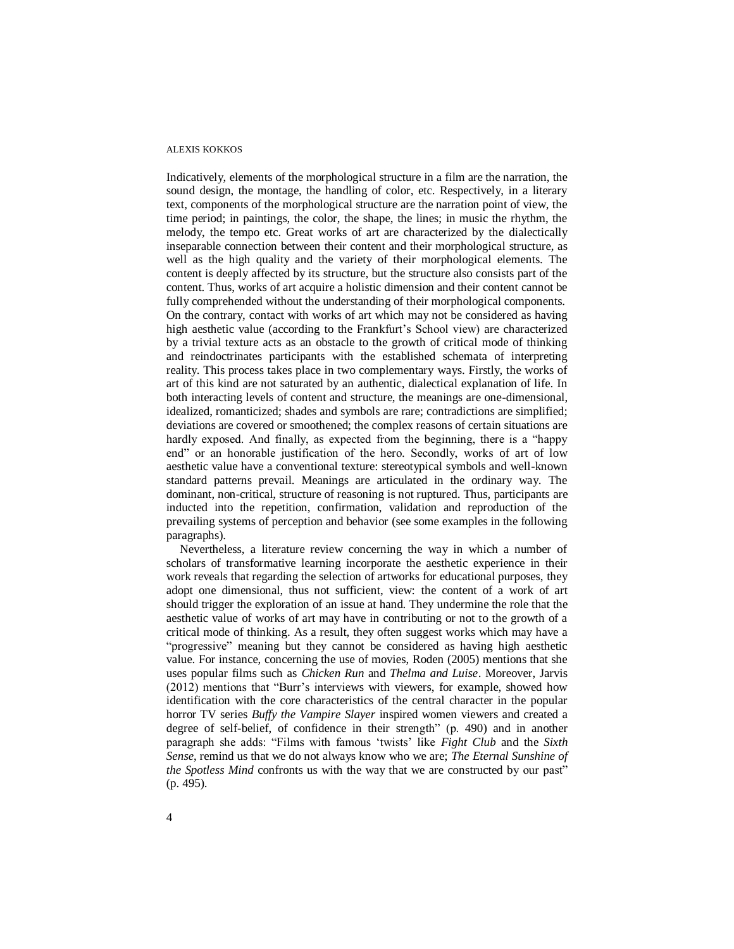Indicatively, elements of the morphological structure in a film are the narration, the sound design, the montage, the handling of color, etc. Respectively, in a literary text, components of the morphological structure are the narration point of view, the time period; in paintings, the color, the shape, the lines; in music the rhythm, the melody, the tempo etc. Great works of art are characterized by the dialectically inseparable connection between their content and their morphological structure, as well as the high quality and the variety of their morphological elements. The content is deeply affected by its structure, but the structure also consists part of the content. Thus, works of art acquire a holistic dimension and their content cannot be fully comprehended without the understanding of their morphological components. On the contrary, contact with works of art which may not be considered as having high aesthetic value (according to the Frankfurt's School view) are characterized by a trivial texture acts as an obstacle to the growth of critical mode of thinking and reindoctrinates participants with the established schemata of interpreting reality. This process takes place in two complementary ways. Firstly, the works of art of this kind are not saturated by an authentic, dialectical explanation of life. In both interacting levels of content and structure, the meanings are one-dimensional, idealized, romanticized; shades and symbols are rare; contradictions are simplified; deviations are covered or smoothened; the complex reasons of certain situations are hardly exposed. And finally, as expected from the beginning, there is a "happy end" or an honorable justification of the hero. Secondly, works of art of low aesthetic value have a conventional texture: stereotypical symbols and well-known standard patterns prevail. Meanings are articulated in the ordinary way. The dominant, non-critical, structure of reasoning is not ruptured. Thus, participants are inducted into the repetition, confirmation, validation and reproduction of the prevailing systems of perception and behavior (see some examples in the following paragraphs).

Nevertheless, a literature review concerning the way in which a number of scholars of transformative learning incorporate the aesthetic experience in their work reveals that regarding the selection of artworks for educational purposes, they adopt one dimensional, thus not sufficient, view: the content of a work of art should trigger the exploration of an issue at hand. They undermine the role that the aesthetic value of works of art may have in contributing or not to the growth of a critical mode of thinking. As a result, they often suggest works which may have a "progressive" meaning but they cannot be considered as having high aesthetic value. For instance, concerning the use of movies, Roden (2005) mentions that she uses popular films such as *Chicken Run* and *Thelma and Luise*. Moreover, Jarvis (2012) mentions that "Burr's interviews with viewers, for example, showed how identification with the core characteristics of the central character in the popular horror TV series *Buffy the Vampire Slayer* inspired women viewers and created a degree of self-belief, of confidence in their strength" (p. 490) and in another paragraph she adds: "Films with famous 'twists' like *Fight Club* and the *Sixth Sense*, remind us that we do not always know who we are; *The Eternal Sunshine of the Spotless Mind* confronts us with the way that we are constructed by our past" (p. 495).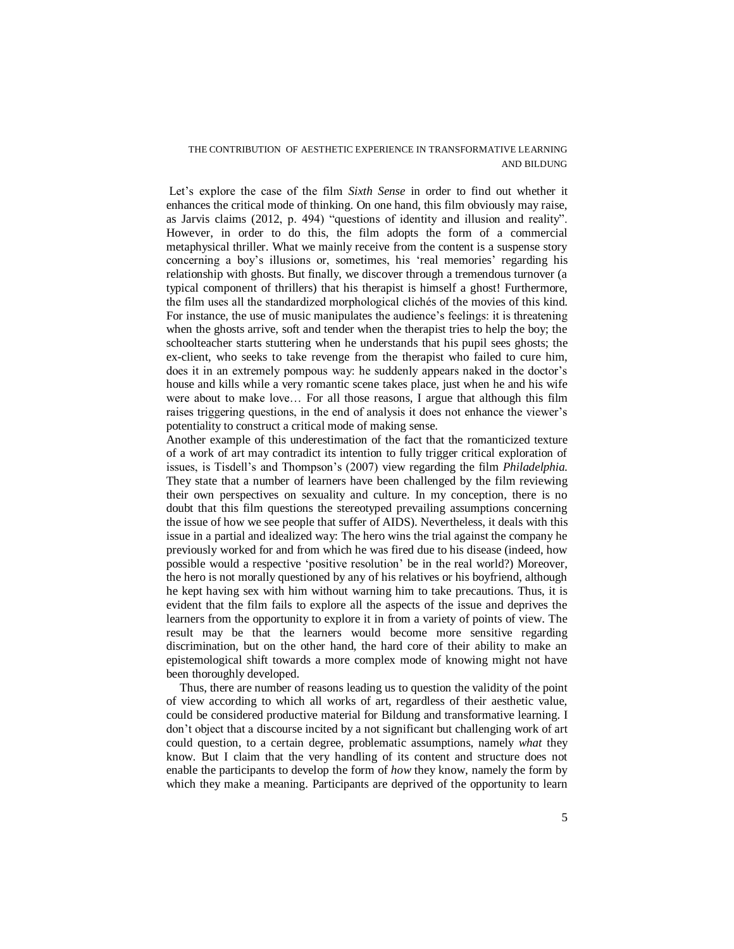Let's explore the case of the film *Sixth Sense* in order to find out whether it enhances the critical mode of thinking. On one hand, this film obviously may raise, as Jarvis claims (2012, p. 494) "questions of identity and illusion and reality". However, in order to do this, the film adopts the form of a commercial metaphysical thriller. What we mainly receive from the content is a suspense story concerning a boy's illusions or, sometimes, his 'real memories' regarding his relationship with ghosts. But finally, we discover through a tremendous turnover (a typical component of thrillers) that his therapist is himself a ghost! Furthermore, the film uses all the standardized morphological clichés of the movies of this kind. For instance, the use of music manipulates the audience's feelings: it is threatening when the ghosts arrive, soft and tender when the therapist tries to help the boy; the schoolteacher starts stuttering when he understands that his pupil sees ghosts; the ex-client, who seeks to take revenge from the therapist who failed to cure him, does it in an extremely pompous way: he suddenly appears naked in the doctor's house and kills while a very romantic scene takes place, just when he and his wife were about to make love… For all those reasons, I argue that although this film raises triggering questions, in the end of analysis it does not enhance the viewer's potentiality to construct a critical mode of making sense.

Another example of this underestimation of the fact that the romanticized texture of a work of art may contradict its intention to fully trigger critical exploration of issues, is Tisdell's and Thompson's (2007) view regarding the film *Philadelphia.* They state that a number of learners have been challenged by the film reviewing their own perspectives on sexuality and culture. In my conception, there is no doubt that this film questions the stereotyped prevailing assumptions concerning the issue of how we see people that suffer of AIDS). Nevertheless, it deals with this issue in a partial and idealized way: The hero wins the trial against the company he previously worked for and from which he was fired due to his disease (indeed, how possible would a respective 'positive resolution' be in the real world?) Moreover, the hero is not morally questioned by any of his relatives or his boyfriend, although he kept having sex with him without warning him to take precautions. Thus, it is evident that the film fails to explore all the aspects of the issue and deprives the learners from the opportunity to explore it in from a variety of points of view. The result may be that the learners would become more sensitive regarding discrimination, but on the other hand, the hard core of their ability to make an epistemological shift towards a more complex mode of knowing might not have been thoroughly developed.

Thus, there are number of reasons leading us to question the validity of the point of view according to which all works of art, regardless of their aesthetic value, could be considered productive material for Bildung and transformative learning. I don't object that a discourse incited by a not significant but challenging work of art could question, to a certain degree, problematic assumptions, namely *what* they know. But I claim that the very handling of its content and structure does not enable the participants to develop the form of *how* they know, namely the form by which they make a meaning. Participants are deprived of the opportunity to learn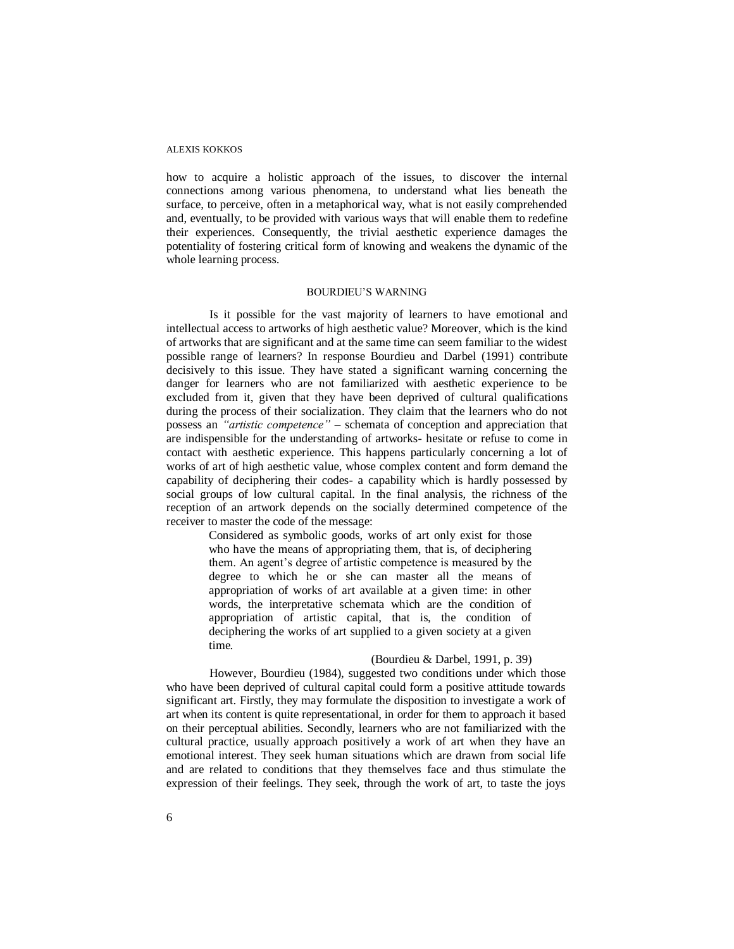how to acquire a holistic approach of the issues, to discover the internal connections among various phenomena, to understand what lies beneath the surface, to perceive, often in a metaphorical way, what is not easily comprehended and, eventually, to be provided with various ways that will enable them to redefine their experiences. Consequently, the trivial aesthetic experience damages the potentiality of fostering critical form of knowing and weakens the dynamic of the whole learning process.

#### BOURDIEU'S WARNING

Is it possible for the vast majority of learners to have emotional and intellectual access to artworks of high aesthetic value? Moreover, which is the kind of artworks that are significant and at the same time can seem familiar to the widest possible range of learners? In response Bourdieu and Darbel (1991) contribute decisively to this issue. They have stated a significant warning concerning the danger for learners who are not familiarized with aesthetic experience to be excluded from it, given that they have been deprived of cultural qualifications during the process of their socialization. They claim that the learners who do not possess an *"artistic competence"* – schemata of conception and appreciation that are indispensible for the understanding of artworks- hesitate or refuse to come in contact with aesthetic experience. This happens particularly concerning a lot of works of art of high aesthetic value, whose complex content and form demand the capability of deciphering their codes- a capability which is hardly possessed by social groups of low cultural capital. In the final analysis, the richness of the reception of an artwork depends on the socially determined competence of the receiver to master the code of the message:

> Considered as symbolic goods, works of art only exist for those who have the means of appropriating them, that is, of deciphering them. An agent's degree of artistic competence is measured by the degree to which he or she can master all the means of appropriation of works of art available at a given time: in other words, the interpretative schemata which are the condition of appropriation of artistic capital, that is, the condition of deciphering the works of art supplied to a given society at a given time.

# (Bourdieu & Darbel, 1991, p. 39)

However, Bourdieu (1984), suggested two conditions under which those who have been deprived of cultural capital could form a positive attitude towards significant art. Firstly, they may formulate the disposition to investigate a work of art when its content is quite representational, in order for them to approach it based on their perceptual abilities. Secondly, learners who are not familiarized with the cultural practice, usually approach positively a work of art when they have an emotional interest. They seek human situations which are drawn from social life and are related to conditions that they themselves face and thus stimulate the expression of their feelings. They seek, through the work of art, to taste the joys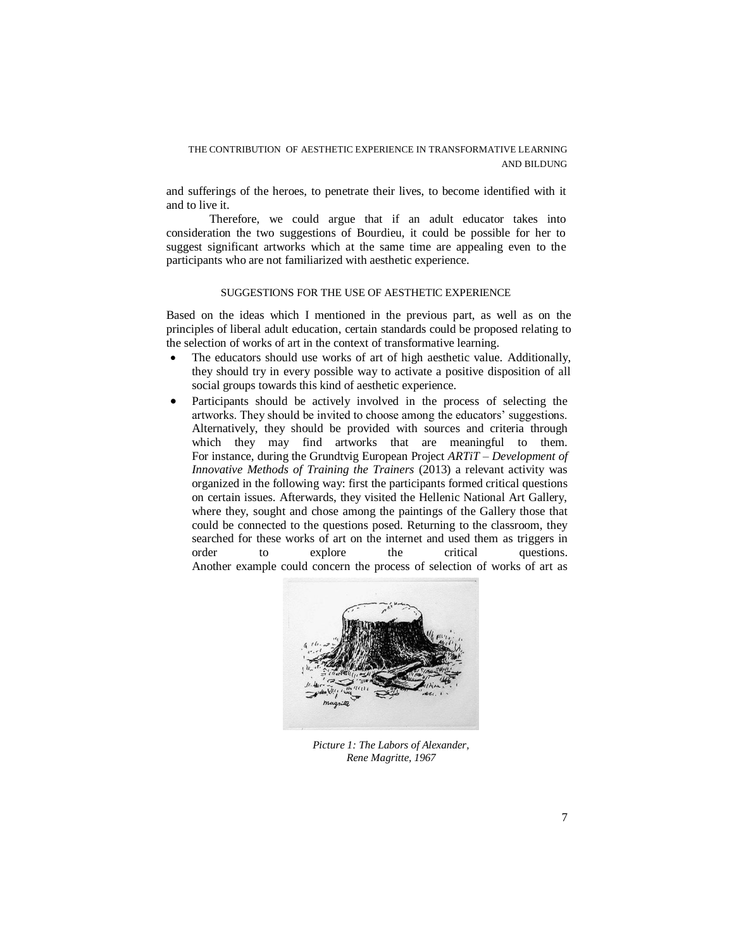and sufferings of the heroes, to penetrate their lives, to become identified with it and to live it.

Therefore, we could argue that if an adult educator takes into consideration the two suggestions of Bourdieu, it could be possible for her to suggest significant artworks which at the same time are appealing even to the participants who are not familiarized with aesthetic experience.

# SUGGESTIONS FOR THE USE OF AESTHETIC EXPERIENCE

Based on the ideas which I mentioned in the previous part, as well as on the principles of liberal adult education, certain standards could be proposed relating to the selection of works of art in the context of transformative learning.

- The educators should use works of art of high aesthetic value. Additionally, they should try in every possible way to activate a positive disposition of all social groups towards this kind of aesthetic experience.
- Participants should be actively involved in the process of selecting the artworks. They should be invited to choose among the educators' suggestions. Alternatively, they should be provided with sources and criteria through which they may find artworks that are meaningful to them. For instance, during the Grundtvig European Project *ARTiT – Development of Innovative Methods of Training the Trainers* (2013) a relevant activity was organized in the following way: first the participants formed critical questions on certain issues. Afterwards, they visited the Hellenic National Art Gallery, where they, sought and chose among the paintings of the Gallery those that could be connected to the questions posed. Returning to the classroom, they searched for these works of art on the internet and used them as triggers in order to explore the critical questions. Another example could concern the process of selection of works of art as



*Picture 1: The Labors of Alexander, Rene Magritte, 1967*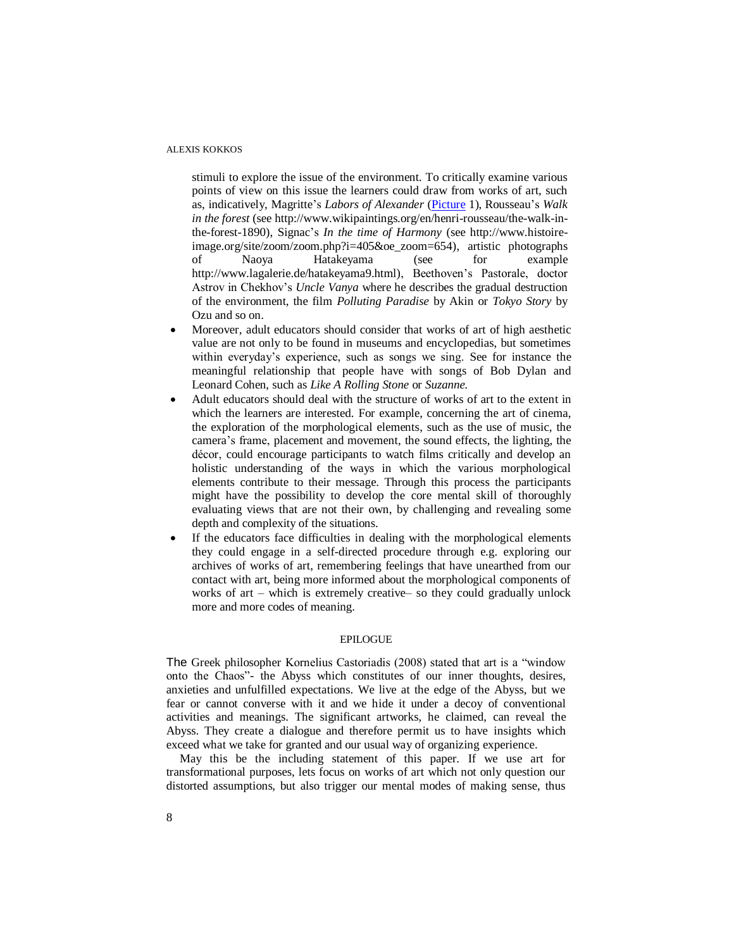stimuli to explore the issue of the environment. To critically examine various points of view on this issue the learners could draw from works of art, such as, indicatively, Magritte's *Labors of Alexander* [\(Picture](file:///C:/Users/Kokkos/Antonis/AppData/Roaming/Microsoft/Word/Picture) 1), Rousseau's *Walk in the forest* (see http://www.wikipaintings.org/en/henri-rousseau/the-walk-inthe-forest-1890), Signac's *In the time of Harmony* (see http://www.histoireimage.org/site/zoom/zoom.php?i=405&oe\_zoom=654), artistic photographs of Naoya Hatakeyama (see for example http://www.lagalerie.de/hatakeyama9.html), Beethoven's Pastorale, doctor Astrov in Chekhov's *Uncle Vanya* where he describes the gradual destruction of the environment, the film *Polluting Paradise* by Akin or *Tokyo Story* by Ozu and so on.

- Moreover, adult educators should consider that works of art of high aesthetic value are not only to be found in museums and encyclopedias, but sometimes within everyday's experience, such as songs we sing. See for instance the meaningful relationship that people have with songs of Bob Dylan and Leonard Cohen, such as *Like A Rolling Stone* or *Suzanne.*
- Adult educators should deal with the structure of works of art to the extent in which the learners are interested. For example, concerning the art of cinema, the exploration of the morphological elements, such as the use of music, the camera's frame, placement and movement, the sound effects, the lighting, the décor, could encourage participants to watch films critically and develop an holistic understanding of the ways in which the various morphological elements contribute to their message. Through this process the participants might have the possibility to develop the core mental skill of thoroughly evaluating views that are not their own, by challenging and revealing some depth and complexity of the situations.
- If the educators face difficulties in dealing with the morphological elements they could engage in a self-directed procedure through e.g. exploring our archives of works of art, remembering feelings that have unearthed from our contact with art, being more informed about the morphological components of works of art – which is extremely creative– so they could gradually unlock more and more codes of meaning.

### EPILOGUE

The Greek philosopher Kornelius Castoriadis (2008) stated that art is a "window onto the Chaos"- the Abyss which constitutes of our inner thoughts, desires, anxieties and unfulfilled expectations. We live at the edge of the Abyss, but we fear or cannot converse with it and we hide it under a decoy of conventional activities and meanings. The significant artworks, he claimed, can reveal the Abyss. They create a dialogue and therefore permit us to have insights which exceed what we take for granted and our usual way of organizing experience.

May this be the including statement of this paper. If we use art for transformational purposes, lets focus on works of art which not only question our distorted assumptions, but also trigger our mental modes of making sense, thus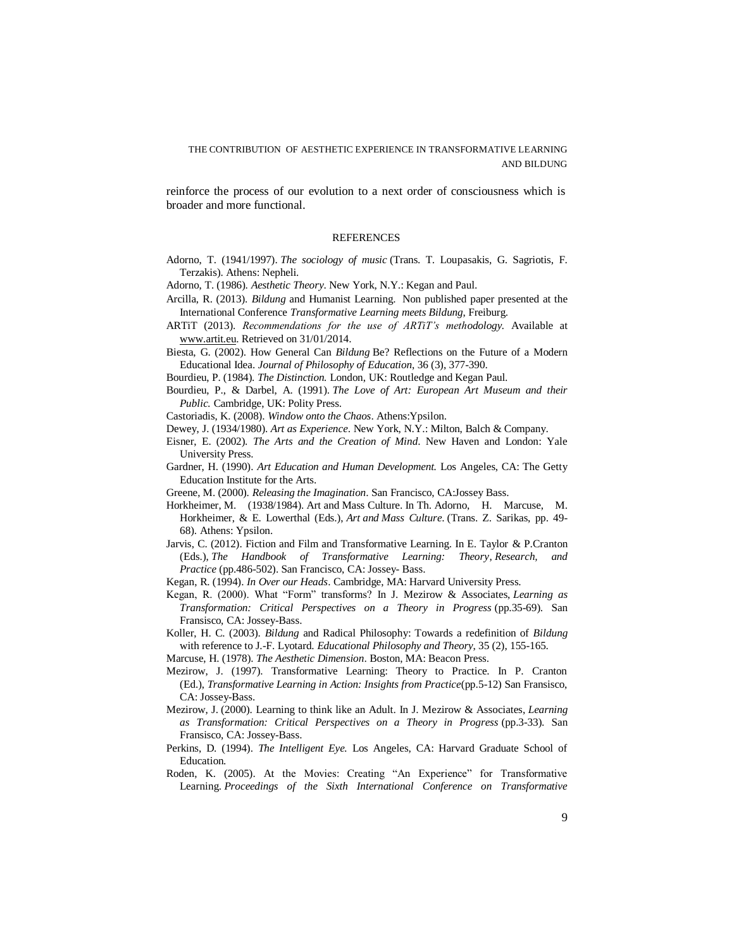reinforce the process of our evolution to a next order of consciousness which is broader and more functional.

#### REFERENCES

- Adorno, T. (1941/1997). *The sociology of music* (Trans. T. Loupasakis, G. Sagriotis, F. Terzakis). Athens: Nepheli.
- Adorno, T. (1986). *Aesthetic Theory*. New York, N.Y.: Kegan and Paul.
- Arcilla, R. (2013). *Bildung* and Humanist Learning. Non published paper presented at the International Conference *Transformative Learning meets Bildung*, Freiburg.
- ARTiT (2013). *Recommendations for the use of ARTiT's methodology.* Available at [www.artit.eu.](http://www.artit.eu/) Retrieved on 31/01/2014.
- Biesta, G. (2002). How General Can *Bildung* Be? Reflections on the Future of a Modern Educational Idea. *Journal of Philosophy of Education*, 36 (3), 377-390.
- Bourdieu, P. (1984). *The Distinction.* London, UK: Routledge and Kegan Paul.
- Bourdieu, P., & Darbel, A. (1991). *The Love of Art: European Art Museum and their Public.* Cambridge, UK: Polity Press.
- Castoriadis, K. (2008). *Window onto the Chaos*. Athens:Ypsilon.
- Dewey, J. (1934/1980). *Art as Experience*. New York, N.Y.: Milton, Balch & Company.
- Eisner, E. (2002). *The Arts and the Creation of Mind*. New Haven and London: Yale University Press.
- Gardner, H. (1990). *Art Education and Human Development.* Los Angeles, CA: The Getty Education Institute for the Arts.
- Greene, M. (2000). *Releasing the Imagination*. San Francisco, CA:Jossey Bass.
- Horkheimer, M. (1938/1984). Art and Mass Culture. In Th. Adorno, H. Marcuse, M. Horkheimer, & E. Lowerthal (Eds.), *Art and Mass Culture*. (Trans. Z. Sarikas, pp. 49- 68). Athens: Ypsilon.
- Jarvis, C. (2012). Fiction and Film and Transformative Learning. In E. Taylor & P.Cranton (Eds.), *The Handbook of Transformative Learning: Theory*, *Research, and Practice* (pp.486-502). San Francisco, CA: Jossey- Bass.
- Kegan, R. (1994). *In Over our Heads*. Cambridge, MA: Harvard University Press.
- Kegan, R. (2000). What "Form" transforms? In J. Mezirow & Associates, *Learning as Transformation: Critical Perspectives on a Theory in Progress* (pp.35-69). San Fransisco, CA: Jossey-Bass.
- Koller, H. C. (2003). *Bildung* and Radical Philosophy: Towards a redefinition of *Bildung* with reference to J.-F. Lyotard. *Educational Philosophy and Theory*, 35 (2), 155-165.
- Marcuse, H. (1978). *The Aesthetic Dimension*. Boston, MA: Beacon Press.
- Mezirow, J. (1997). Transformative Learning: Theory to Practice. In P. Cranton (Ed.), *Transformative Learning in Action: Insights from Practice*(pp.5-12) San Fransisco, CA: Jossey-Bass.
- Mezirow, J. (2000). Learning to think like an Adult. In J. Mezirow & Associates, *Learning as Transformation: Critical Perspectives on a Theory in Progress* (pp.3-33). San Fransisco, CA: Jossey-Bass.
- Perkins, D. (1994). *The Intelligent Eye.* Los Angeles, CA: Harvard Graduate School of Education.
- Roden, K. (2005). At the Movies: Creating "An Experience" for Transformative Learning. *Proceedings of the Sixth International Conference on Transformative*